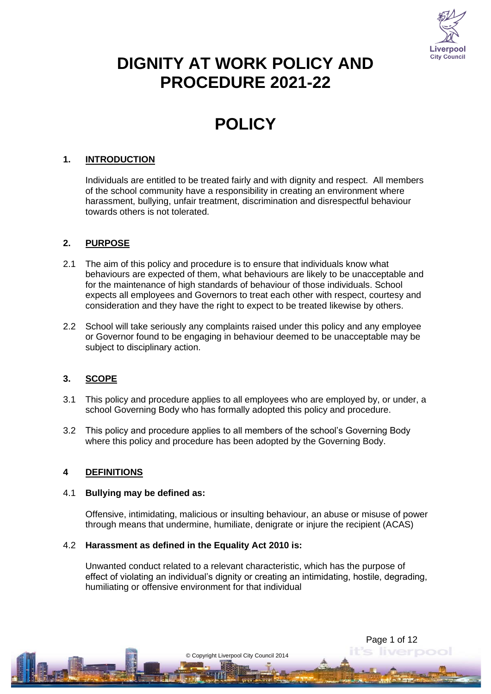

# **DIGNITY AT WORK POLICY AND PROCEDURE 2021-22**

# **POLICY**

## **1. INTRODUCTION**

Individuals are entitled to be treated fairly and with dignity and respect. All members of the school community have a responsibility in creating an environment where harassment, bullying, unfair treatment, discrimination and disrespectful behaviour towards others is not tolerated.

#### **2. PURPOSE**

- 2.1 The aim of this policy and procedure is to ensure that individuals know what behaviours are expected of them, what behaviours are likely to be unacceptable and for the maintenance of high standards of behaviour of those individuals. School expects all employees and Governors to treat each other with respect, courtesy and consideration and they have the right to expect to be treated likewise by others.
- 2.2 School will take seriously any complaints raised under this policy and any employee or Governor found to be engaging in behaviour deemed to be unacceptable may be subject to disciplinary action.

## **3. SCOPE**

- 3.1 This policy and procedure applies to all employees who are employed by, or under, a school Governing Body who has formally adopted this policy and procedure.
- 3.2 This policy and procedure applies to all members of the school's Governing Body where this policy and procedure has been adopted by the Governing Body.

#### **4 DEFINITIONS**

#### 4.1 **Bullying may be defined as:**

Offensive, intimidating, malicious or insulting behaviour, an abuse or misuse of power through means that undermine, humiliate, denigrate or injure the recipient (ACAS)

#### 4.2 **Harassment as defined in the Equality Act 2010 is:**

Unwanted conduct related to a relevant characteristic, which has the purpose of effect of violating an individual's dignity or creating an intimidating, hostile, degrading, humiliating or offensive environment for that individual

© Copyright Liverpool City Council 2014

Page 1 of 12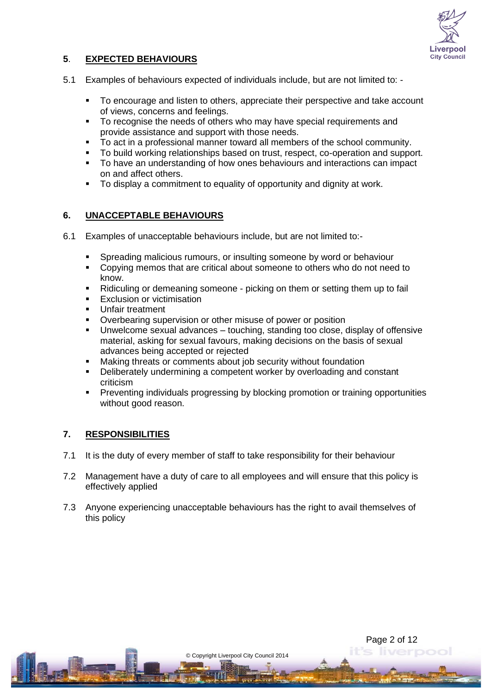

## **5**. **EXPECTED BEHAVIOURS**

- 5.1 Examples of behaviours expected of individuals include, but are not limited to:
	- To encourage and listen to others, appreciate their perspective and take account of views, concerns and feelings.
	- To recognise the needs of others who may have special requirements and provide assistance and support with those needs.
	- To act in a professional manner toward all members of the school community.
	- To build working relationships based on trust, respect, co-operation and support.
	- To have an understanding of how ones behaviours and interactions can impact on and affect others.
	- To display a commitment to equality of opportunity and dignity at work.

#### **6. UNACCEPTABLE BEHAVIOURS**

- 6.1 Examples of unacceptable behaviours include, but are not limited to:-
	- Spreading malicious rumours, or insulting someone by word or behaviour
	- Copying memos that are critical about someone to others who do not need to know.
	- Ridiculing or demeaning someone picking on them or setting them up to fail
	- **Exclusion or victimisation**
	- **Unfair treatment**
	- Overbearing supervision or other misuse of power or position
	- Unwelcome sexual advances touching, standing too close, display of offensive material, asking for sexual favours, making decisions on the basis of sexual advances being accepted or rejected
	- Making threats or comments about job security without foundation
	- Deliberately undermining a competent worker by overloading and constant criticism
	- Preventing individuals progressing by blocking promotion or training opportunities without good reason.

#### **7. RESPONSIBILITIES**

- 7.1 It is the duty of every member of staff to take responsibility for their behaviour
- 7.2 Management have a duty of care to all employees and will ensure that this policy is effectively applied
- 7.3 Anyone experiencing unacceptable behaviours has the right to avail themselves of this policy

© Copyright Liverpool City Council 2014

Page 2 of 12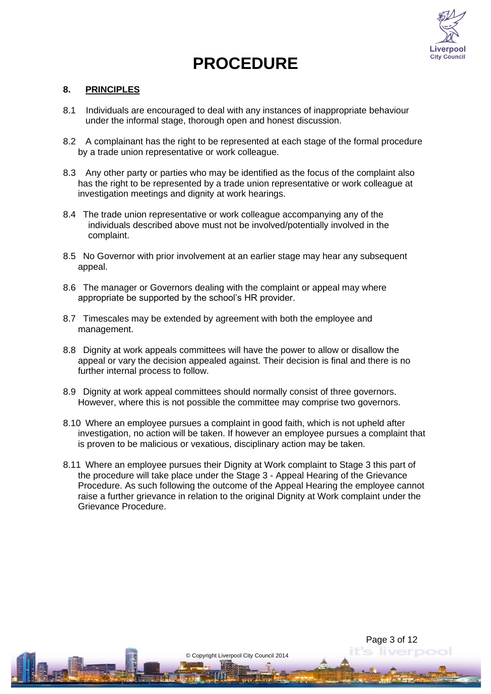

Page 3 of 12

# **PROCEDURE**

#### **8. PRINCIPLES**

- 8.1 Individuals are encouraged to deal with any instances of inappropriate behaviour under the informal stage, thorough open and honest discussion.
- 8.2 A complainant has the right to be represented at each stage of the formal procedure by a trade union representative or work colleague.
- 8.3 Any other party or parties who may be identified as the focus of the complaint also has the right to be represented by a trade union representative or work colleague at investigation meetings and dignity at work hearings.
- 8.4 The trade union representative or work colleague accompanying any of the individuals described above must not be involved/potentially involved in the complaint.
- 8.5 No Governor with prior involvement at an earlier stage may hear any subsequent appeal.
- 8.6 The manager or Governors dealing with the complaint or appeal may where appropriate be supported by the school's HR provider.
- 8.7 Timescales may be extended by agreement with both the employee and management.
- 8.8 Dignity at work appeals committees will have the power to allow or disallow the appeal or vary the decision appealed against. Their decision is final and there is no further internal process to follow.
- 8.9 Dignity at work appeal committees should normally consist of three governors. However, where this is not possible the committee may comprise two governors.
- 8.10 Where an employee pursues a complaint in good faith, which is not upheld after investigation, no action will be taken. If however an employee pursues a complaint that is proven to be malicious or vexatious, disciplinary action may be taken.
- 8.11 Where an employee pursues their Dignity at Work complaint to Stage 3 this part of the procedure will take place under the Stage 3 - Appeal Hearing of the Grievance Procedure. As such following the outcome of the Appeal Hearing the employee cannot raise a further grievance in relation to the original Dignity at Work complaint under the Grievance Procedure.

© Copyright Liverpool City Council 2014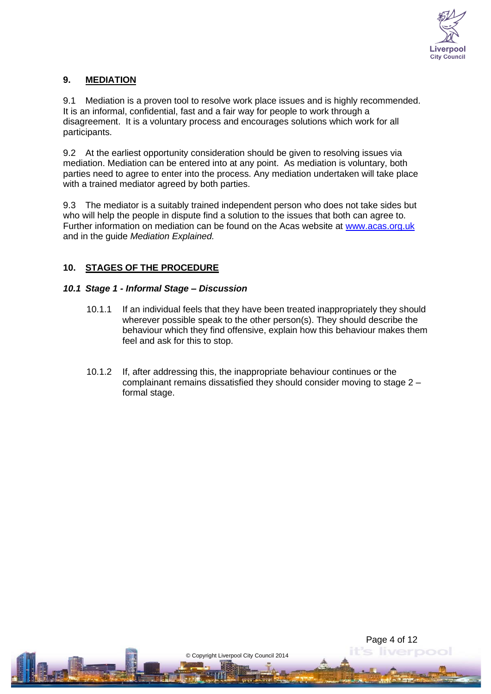

# **9. MEDIATION**

9.1 Mediation is a proven tool to resolve work place issues and is highly recommended. It is an informal, confidential, fast and a fair way for people to work through a disagreement. It is a voluntary process and encourages solutions which work for all participants.

9.2 At the earliest opportunity consideration should be given to resolving issues via mediation. Mediation can be entered into at any point. As mediation is voluntary, both parties need to agree to enter into the process. Any mediation undertaken will take place with a trained mediator agreed by both parties.

9.3 The mediator is a suitably trained independent person who does not take sides but who will help the people in dispute find a solution to the issues that both can agree to. Further information on mediation can be found on the Acas website at [www.acas.org.uk](http://www.acas.org.uk/) and in the guide *Mediation Explained.*

## **10. STAGES OF THE PROCEDURE**

#### *10.1 Stage 1 - Informal Stage – Discussion*

- 10.1.1 If an individual feels that they have been treated inappropriately they should wherever possible speak to the other person(s). They should describe the behaviour which they find offensive, explain how this behaviour makes them feel and ask for this to stop.
- 10.1.2 If, after addressing this, the inappropriate behaviour continues or the complainant remains dissatisfied they should consider moving to stage 2 – formal stage.

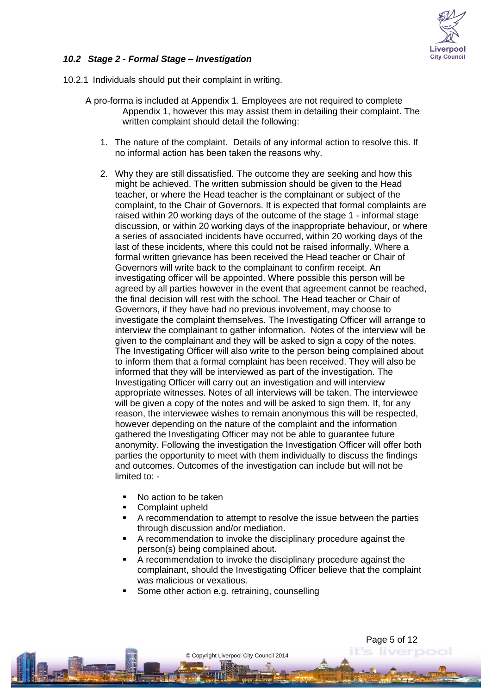

#### *10.2 Stage 2 - Formal Stage – Investigation*

- 10.2.1 Individuals should put their complaint in writing.
	- A pro-forma is included at Appendix 1. Employees are not required to complete Appendix 1, however this may assist them in detailing their complaint. The written complaint should detail the following:
		- 1. The nature of the complaint. Details of any informal action to resolve this. If no informal action has been taken the reasons why.
		- 2. Why they are still dissatisfied. The outcome they are seeking and how this might be achieved. The written submission should be given to the Head teacher, or where the Head teacher is the complainant or subject of the complaint, to the Chair of Governors. It is expected that formal complaints are raised within 20 working days of the outcome of the stage 1 - informal stage discussion, or within 20 working days of the inappropriate behaviour, or where a series of associated incidents have occurred, within 20 working days of the last of these incidents, where this could not be raised informally. Where a formal written grievance has been received the Head teacher or Chair of Governors will write back to the complainant to confirm receipt. An investigating officer will be appointed. Where possible this person will be agreed by all parties however in the event that agreement cannot be reached, the final decision will rest with the school. The Head teacher or Chair of Governors, if they have had no previous involvement, may choose to investigate the complaint themselves. The Investigating Officer will arrange to interview the complainant to gather information. Notes of the interview will be given to the complainant and they will be asked to sign a copy of the notes. The Investigating Officer will also write to the person being complained about to inform them that a formal complaint has been received. They will also be informed that they will be interviewed as part of the investigation. The Investigating Officer will carry out an investigation and will interview appropriate witnesses. Notes of all interviews will be taken. The interviewee will be given a copy of the notes and will be asked to sign them. If, for any reason, the interviewee wishes to remain anonymous this will be respected, however depending on the nature of the complaint and the information gathered the Investigating Officer may not be able to guarantee future anonymity. Following the investigation the Investigation Officer will offer both parties the opportunity to meet with them individually to discuss the findings and outcomes. Outcomes of the investigation can include but will not be limited to: -
			- No action to be taken
			- Complaint upheld
			- A recommendation to attempt to resolve the issue between the parties through discussion and/or mediation.
			- A recommendation to invoke the disciplinary procedure against the person(s) being complained about.
			- A recommendation to invoke the disciplinary procedure against the complainant, should the Investigating Officer believe that the complaint was malicious or vexatious.

Page 5 of 12

Some other action e.g. retraining, counselling

© Copyright Liverpool City Council 2014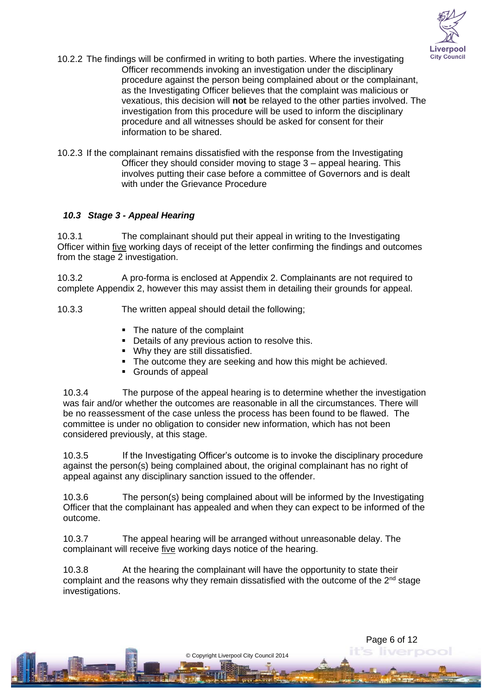

- 10.2.2 The findings will be confirmed in writing to both parties. Where the investigating Officer recommends invoking an investigation under the disciplinary procedure against the person being complained about or the complainant, as the Investigating Officer believes that the complaint was malicious or vexatious, this decision will **not** be relayed to the other parties involved. The investigation from this procedure will be used to inform the disciplinary procedure and all witnesses should be asked for consent for their information to be shared.
- 10.2.3 If the complainant remains dissatisfied with the response from the Investigating Officer they should consider moving to stage 3 – appeal hearing. This involves putting their case before a committee of Governors and is dealt with under the Grievance Procedure

## *10.3 Stage 3 - Appeal Hearing*

10.3.1 The complainant should put their appeal in writing to the Investigating Officer within five working days of receipt of the letter confirming the findings and outcomes from the stage 2 investigation.

10.3.2 A pro-forma is enclosed at Appendix 2. Complainants are not required to complete Appendix 2, however this may assist them in detailing their grounds for appeal.

- 10.3.3 The written appeal should detail the following;
	- The nature of the complaint
	- Details of any previous action to resolve this.
	- Why they are still dissatisfied.
	- The outcome they are seeking and how this might be achieved.
	- Grounds of appeal

10.3.4 The purpose of the appeal hearing is to determine whether the investigation was fair and/or whether the outcomes are reasonable in all the circumstances. There will be no reassessment of the case unless the process has been found to be flawed. The committee is under no obligation to consider new information, which has not been considered previously, at this stage.

10.3.5 If the Investigating Officer's outcome is to invoke the disciplinary procedure against the person(s) being complained about, the original complainant has no right of appeal against any disciplinary sanction issued to the offender.

10.3.6 The person(s) being complained about will be informed by the Investigating Officer that the complainant has appealed and when they can expect to be informed of the outcome.

10.3.7 The appeal hearing will be arranged without unreasonable delay. The complainant will receive five working days notice of the hearing.

10.3.8 At the hearing the complainant will have the opportunity to state their complaint and the reasons why they remain dissatisfied with the outcome of the  $2<sup>nd</sup>$  stage investigations.

© Copyright Liverpool City Council 2014

Page 6 of 12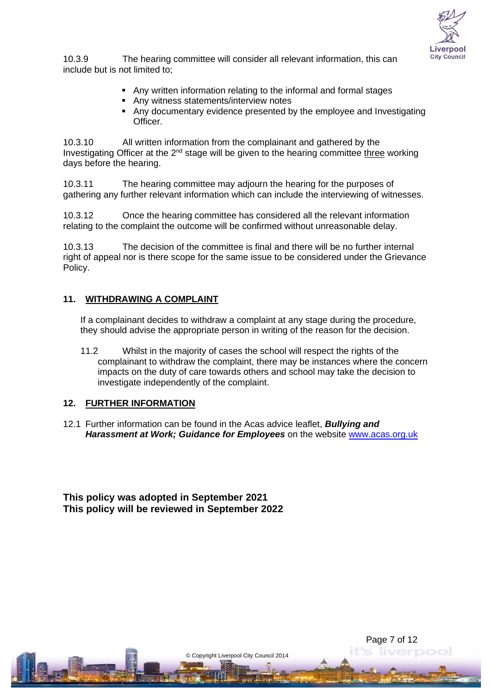

Page 7 of 12

10.3.9 The hearing committee will consider all relevant information, this can include but is not limited to;

- Any written information relating to the informal and formal stages
- Any witness statements/interview notes
- Any documentary evidence presented by the employee and Investigating Officer.

10.3.10 All written information from the complainant and gathered by the Investigating Officer at the  $2<sup>nd</sup>$  stage will be given to the hearing committee three working days before the hearing.

10.3.11 The hearing committee may adjourn the hearing for the purposes of gathering any further relevant information which can include the interviewing of witnesses.

10.3.12 Once the hearing committee has considered all the relevant information relating to the complaint the outcome will be confirmed without unreasonable delay.

10.3.13 The decision of the committee is final and there will be no further internal right of appeal nor is there scope for the same issue to be considered under the Grievance Policy.

#### **11. WITHDRAWING A COMPLAINT**

If a complainant decides to withdraw a complaint at any stage during the procedure, they should advise the appropriate person in writing of the reason for the decision.

11.2 Whilst in the majority of cases the school will respect the rights of the complainant to withdraw the complaint, there may be instances where the concern impacts on the duty of care towards others and school may take the decision to investigate independently of the complaint.

#### **12. FURTHER INFORMATION**

12.1 Further information can be found in the Acas advice leaflet, *Bullying and Harassment at Work; Guidance for Employees* on the website [www.acas.org.uk](http://www.acas.org.uk/)

© Copyright Liverpool City Council 2014

**This policy was adopted in September 2021 This policy will be reviewed in September 2022**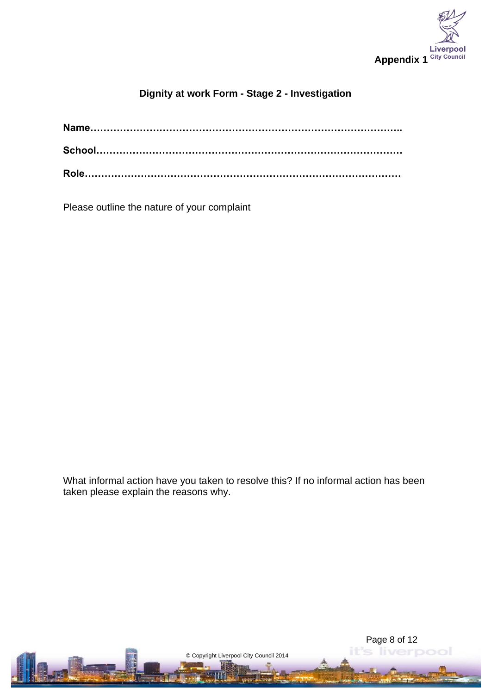

# **Dignity at work Form - Stage 2 - Investigation**

Please outline the nature of your complaint

What informal action have you taken to resolve this? If no informal action has been taken please explain the reasons why.

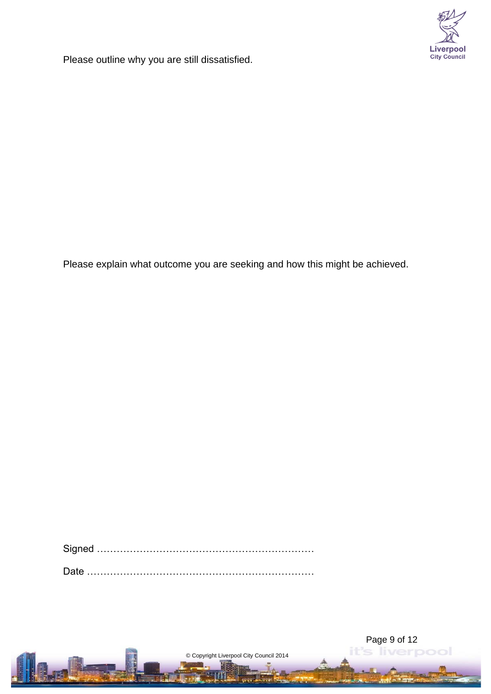

Please outline why you are still dissatisfied.

Please explain what outcome you are seeking and how this might be achieved.

Signed …………………………………………………………

Date ……………………………………………………………

© Copyright Liverpool City Council 2014

Page 9 of 12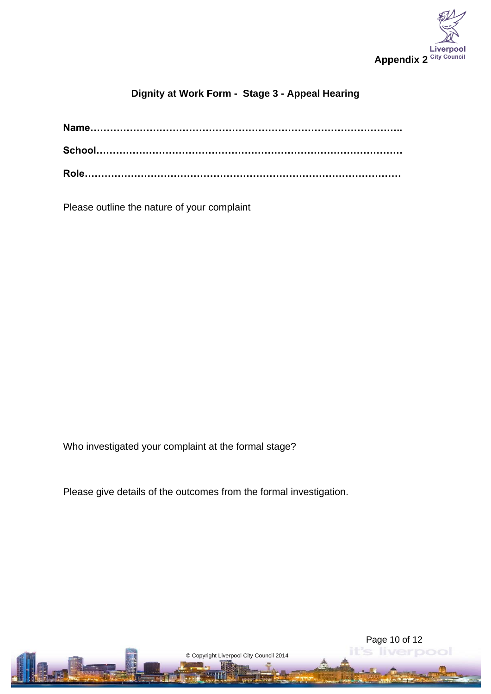

Page 10 of 12

# **Dignity at Work Form - Stage 3 - Appeal Hearing**

Please outline the nature of your complaint

Who investigated your complaint at the formal stage?

Please give details of the outcomes from the formal investigation.

© Copyright Liverpool City Council 2014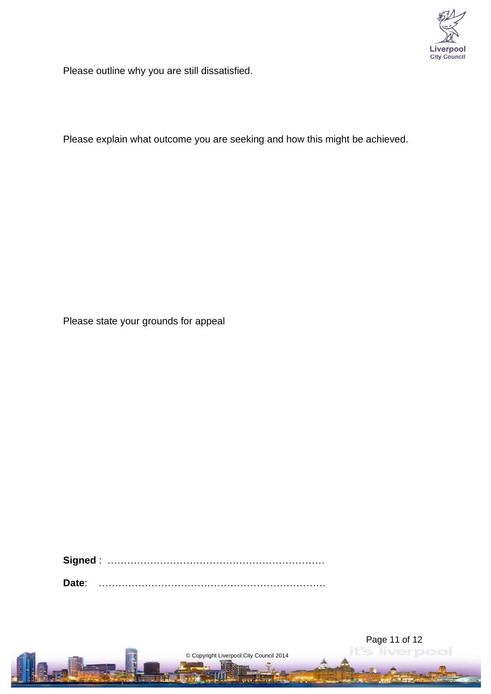

Please outline why you are still dissatisfied.

Please explain what outcome you are seeking and how this might be achieved.

Please state your grounds for appeal

**Signed** : …………………………………………………………

**Date**: ……………………………………………………………